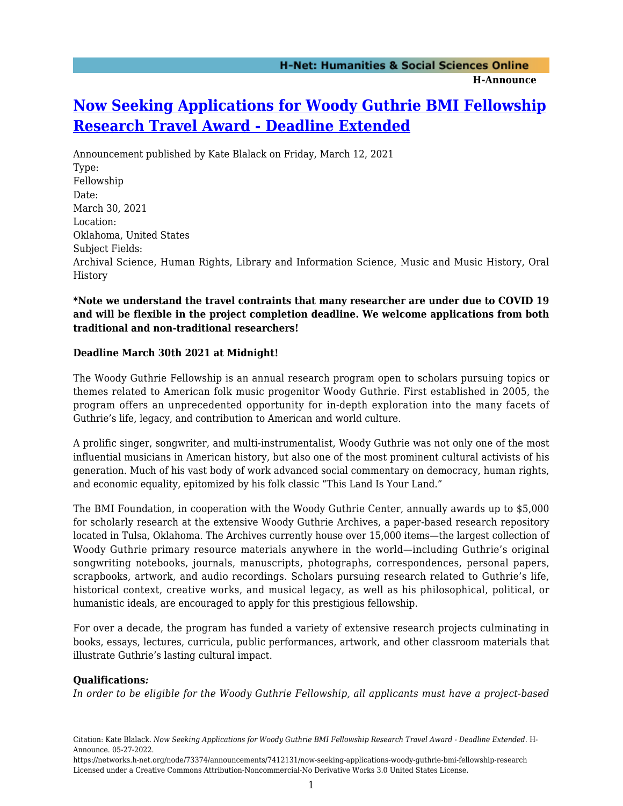## **[Now Seeking Applications for Woody Guthrie BMI Fellowship](https://networks.h-net.org/node/73374/announcements/7412131/now-seeking-applications-woody-guthrie-bmi-fellowship-research) [Research Travel Award - Deadline Extended](https://networks.h-net.org/node/73374/announcements/7412131/now-seeking-applications-woody-guthrie-bmi-fellowship-research)**

Announcement published by Kate Blalack on Friday, March 12, 2021 Type: Fellowship Date: March 30, 2021 Location: Oklahoma, United States Subject Fields: Archival Science, Human Rights, Library and Information Science, Music and Music History, Oral History

**\*Note we understand the travel contraints that many researcher are under due to COVID 19 and will be flexible in the project completion deadline. We welcome applications from both traditional and non-traditional researchers!**

## **Deadline March 30th 2021 at Midnight!**

The Woody Guthrie Fellowship is an annual research program open to scholars pursuing topics or themes related to American folk music progenitor Woody Guthrie. First established in 2005, the program offers an unprecedented opportunity for in-depth exploration into the many facets of Guthrie's life, legacy, and contribution to American and world culture.

A prolific singer, songwriter, and multi-instrumentalist, Woody Guthrie was not only one of the most influential musicians in American history, but also one of the most prominent cultural activists of his generation. Much of his vast body of work advanced social commentary on democracy, human rights, and economic equality, epitomized by his folk classic "This Land Is Your Land."

The BMI Foundation, in cooperation with the Woody Guthrie Center, annually awards up to \$5,000 for scholarly research at the extensive Woody Guthrie Archives, a paper-based research repository located in Tulsa, Oklahoma. The Archives currently house over 15,000 items—the largest collection of Woody Guthrie primary resource materials anywhere in the world—including Guthrie's original songwriting notebooks, journals, manuscripts, photographs, correspondences, personal papers, scrapbooks, artwork, and audio recordings. Scholars pursuing research related to Guthrie's life, historical context, creative works, and musical legacy, as well as his philosophical, political, or humanistic ideals, are encouraged to apply for this prestigious fellowship.

For over a decade, the program has funded a variety of extensive research projects culminating in books, essays, lectures, curricula, public performances, artwork, and other classroom materials that illustrate Guthrie's lasting cultural impact.

## **Qualifications***:*

*In order to be eligible for the Woody Guthrie Fellowship, all applicants must have a project-based*

Citation: Kate Blalack. *Now Seeking Applications for Woody Guthrie BMI Fellowship Research Travel Award - Deadline Extended*. H-Announce. 05-27-2022.

https://networks.h-net.org/node/73374/announcements/7412131/now-seeking-applications-woody-guthrie-bmi-fellowship-research Licensed under a Creative Commons Attribution-Noncommercial-No Derivative Works 3.0 United States License.